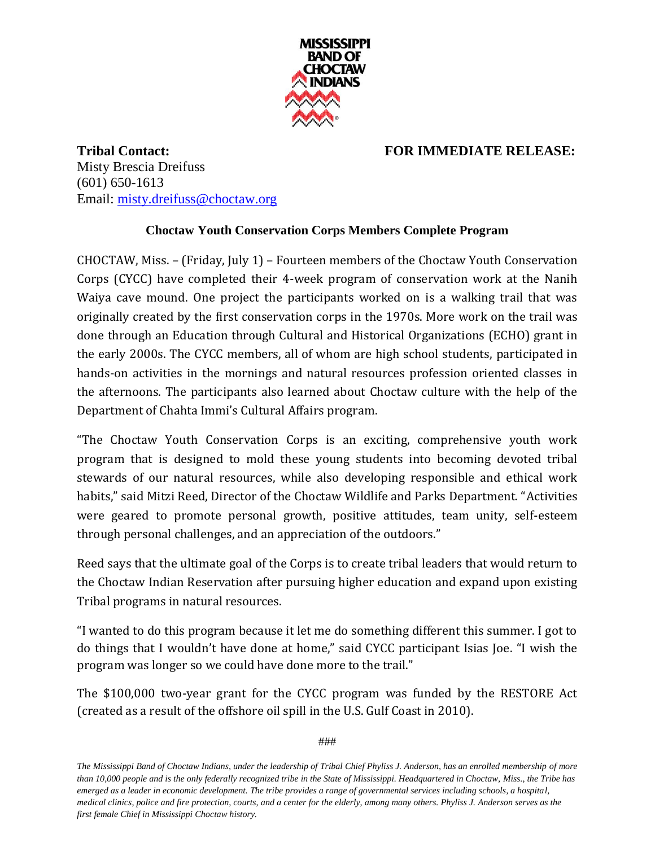

**Tribal Contact: FOR IMMEDIATE RELEASE:**  Misty Brescia Dreifuss (601) 650-1613 Email: [misty.dreifuss@choctaw.org](mailto:misty.dreifuss@choctaw.org)

## **Choctaw Youth Conservation Corps Members Complete Program**

CHOCTAW, Miss. – (Friday, July 1) – Fourteen members of the Choctaw Youth Conservation Corps (CYCC) have completed their 4-week program of conservation work at the Nanih Waiya cave mound. One project the participants worked on is a walking trail that was originally created by the first conservation corps in the 1970s. More work on the trail was done through an Education through Cultural and Historical Organizations (ECHO) grant in the early 2000s. The CYCC members, all of whom are high school students, participated in hands-on activities in the mornings and natural resources profession oriented classes in the afternoons. The participants also learned about Choctaw culture with the help of the Department of Chahta Immi's Cultural Affairs program.

"The Choctaw Youth Conservation Corps is an exciting, comprehensive youth work program that is designed to mold these young students into becoming devoted tribal stewards of our natural resources, while also developing responsible and ethical work habits," said Mitzi Reed, Director of the Choctaw Wildlife and Parks Department. "Activities were geared to promote personal growth, positive attitudes, team unity, self-esteem through personal challenges, and an appreciation of the outdoors."

Reed says that the ultimate goal of the Corps is to create tribal leaders that would return to the Choctaw Indian Reservation after pursuing higher education and expand upon existing Tribal programs in natural resources.

"I wanted to do this program because it let me do something different this summer. I got to do things that I wouldn't have done at home," said CYCC participant Isias Joe. "I wish the program was longer so we could have done more to the trail."

The \$100,000 two-year grant for the CYCC program was funded by the RESTORE Act (created as a result of the offshore oil spill in the U.S. Gulf Coast in 2010).

###

*The Mississippi Band of Choctaw Indians, under the leadership of Tribal Chief Phyliss J. Anderson, has an enrolled membership of more than 10,000 people and is the only federally recognized tribe in the State of Mississippi. Headquartered in Choctaw, Miss., the Tribe has emerged as a leader in economic development. The tribe provides a range of governmental services including schools, a hospital, medical clinics, police and fire protection, courts, and a center for the elderly, among many others. Phyliss J. Anderson serves as the first female Chief in Mississippi Choctaw history.*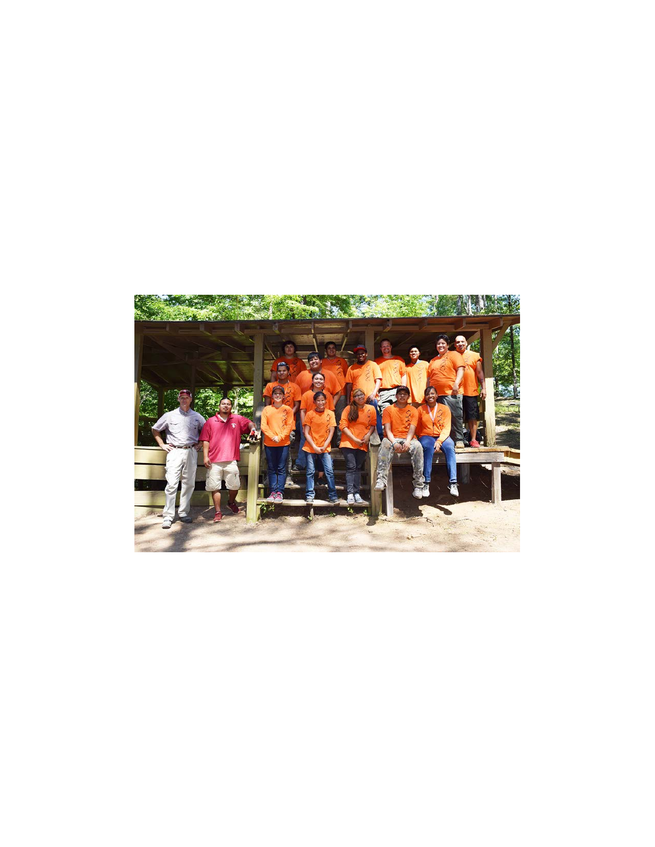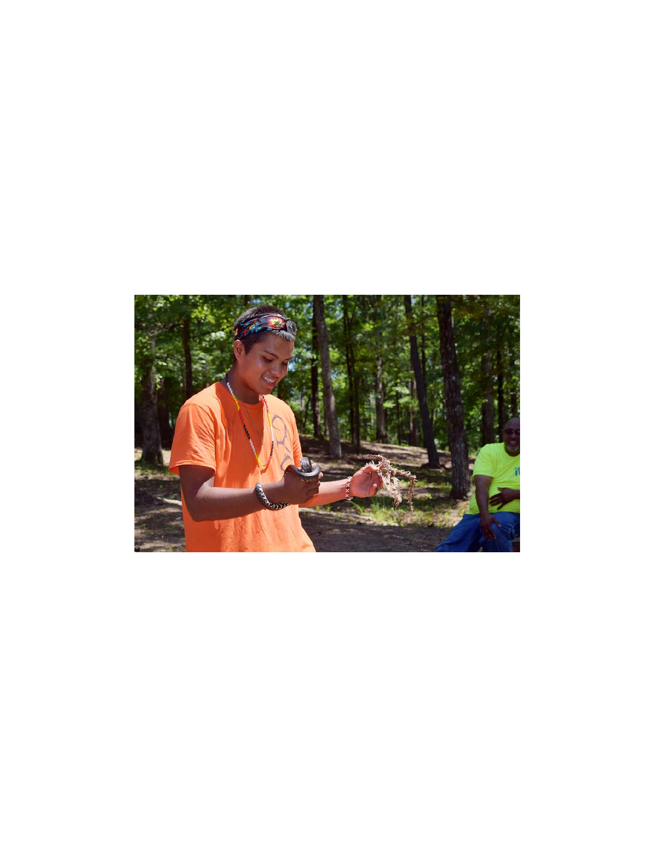